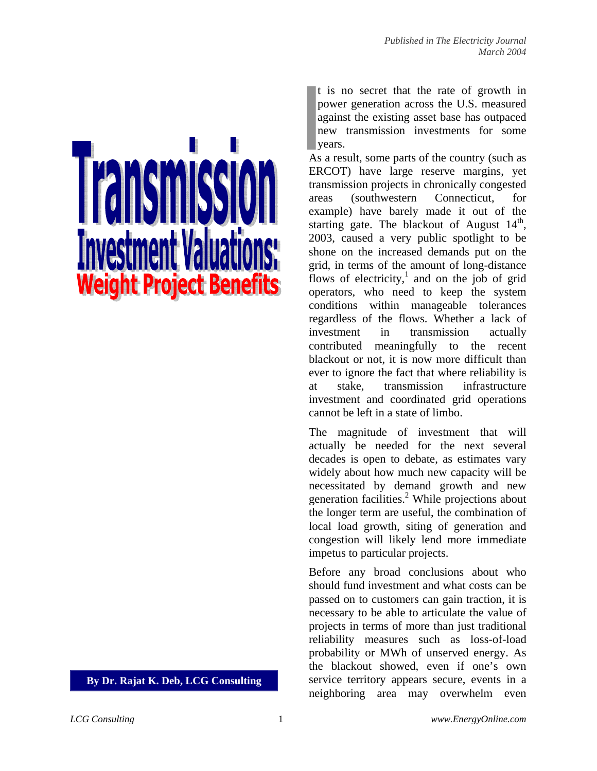# **Weight Project Benefits**

**By Dr. Rajat K. Deb, LCG Consulting** 

t is no secret that the rate of growth in power generation across the U.S. measured against the existing asset base has outpaced new transmission investments for some years.

As a result, some parts of the country (such as ERCOT) have large reserve margins, yet transmission projects in chronically congested areas (southwestern Connecticut, for example) have barely made it out of the starting gate. The blackout of August  $14<sup>th</sup>$ , 2003, caused a very public spotlight to be shone on the increased demands put on the grid, in terms of the amount of long-distance flows of electricity,<sup>1</sup> and on the job of grid operators, who need to keep the system conditions within manageable tolerances regardless of the flows. Whether a lack of investment in transmission actually contributed meaningfully to the recent blackout or not, it is now more difficult than ever to ignore the fact that where reliability is at stake, transmission infrastructure investment and coordinated grid operations cannot be left in a state of limbo.

The magnitude of investment that will actually be needed for the next several decades is open to debate, as estimates vary widely about how much new capacity will be necessitated by demand growth and new generation facilities.<sup>2</sup> While projections about the longer term are useful, the combination of local load growth, siting of generation and congestion will likely lend more immediate impetus to particular projects.

Before any broad conclusions about who should fund investment and what costs can be passed on to customers can gain traction, it is necessary to be able to articulate the value of projects in terms of more than just traditional reliability measures such as loss-of-load probability or MWh of unserved energy. As the blackout showed, even if one's own service territory appears secure, events in a neighboring area may overwhelm even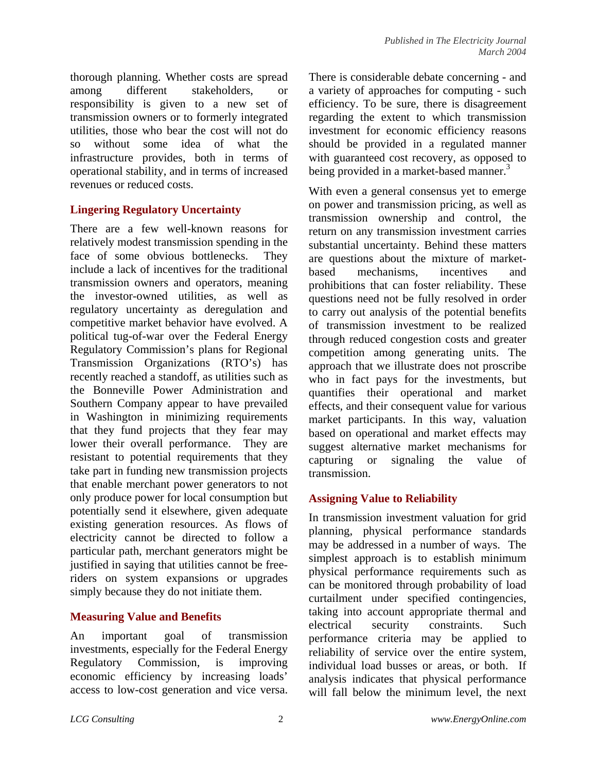thorough planning. Whether costs are spread among different stakeholders, or responsibility is given to a new set of transmission owners or to formerly integrated utilities, those who bear the cost will not do so without some idea of what the infrastructure provides, both in terms of operational stability, and in terms of increased revenues or reduced costs.

## **Lingering Regulatory Uncertainty**

There are a few well-known reasons for relatively modest transmission spending in the face of some obvious bottlenecks. They include a lack of incentives for the traditional transmission owners and operators, meaning the investor-owned utilities, as well as regulatory uncertainty as deregulation and competitive market behavior have evolved. A political tug-of-war over the Federal Energy Regulatory Commission's plans for Regional Transmission Organizations (RTO's) has recently reached a standoff, as utilities such as the Bonneville Power Administration and Southern Company appear to have prevailed in Washington in minimizing requirements that they fund projects that they fear may lower their overall performance. They are resistant to potential requirements that they take part in funding new transmission projects that enable merchant power generators to not only produce power for local consumption but potentially send it elsewhere, given adequate existing generation resources. As flows of electricity cannot be directed to follow a particular path, merchant generators might be justified in saying that utilities cannot be freeriders on system expansions or upgrades simply because they do not initiate them.

### **Measuring Value and Benefits**

An important goal of transmission investments, especially for the Federal Energy Regulatory Commission, is improving economic efficiency by increasing loads' access to low-cost generation and vice versa. There is considerable debate concerning - and a variety of approaches for computing - such efficiency. To be sure, there is disagreement regarding the extent to which transmission investment for economic efficiency reasons should be provided in a regulated manner with guaranteed cost recovery, as opposed to being provided in a market-based manner.<sup>3</sup>

With even a general consensus yet to emerge on power and transmission pricing, as well as transmission ownership and control, the return on any transmission investment carries substantial uncertainty. Behind these matters are questions about the mixture of marketbased mechanisms, incentives and prohibitions that can foster reliability. These questions need not be fully resolved in order to carry out analysis of the potential benefits of transmission investment to be realized through reduced congestion costs and greater competition among generating units. The approach that we illustrate does not proscribe who in fact pays for the investments, but quantifies their operational and market effects, and their consequent value for various market participants. In this way, valuation based on operational and market effects may suggest alternative market mechanisms for capturing or signaling the value of transmission.

# **Assigning Value to Reliability**

In transmission investment valuation for grid planning, physical performance standards may be addressed in a number of ways. The simplest approach is to establish minimum physical performance requirements such as can be monitored through probability of load curtailment under specified contingencies, taking into account appropriate thermal and electrical security constraints. Such performance criteria may be applied to reliability of service over the entire system, individual load busses or areas, or both. If analysis indicates that physical performance will fall below the minimum level, the next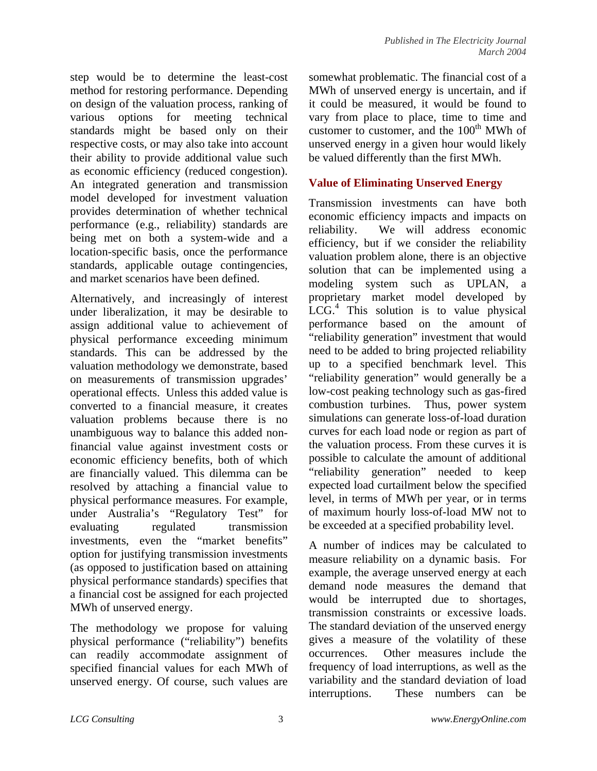step would be to determine the least-cost method for restoring performance. Depending on design of the valuation process, ranking of various options for meeting technical standards might be based only on their respective costs, or may also take into account their ability to provide additional value such as economic efficiency (reduced congestion). An integrated generation and transmission model developed for investment valuation provides determination of whether technical performance (e.g., reliability) standards are being met on both a system-wide and a location-specific basis, once the performance standards, applicable outage contingencies, and market scenarios have been defined.

Alternatively, and increasingly of interest under liberalization, it may be desirable to assign additional value to achievement of physical performance exceeding minimum standards. This can be addressed by the valuation methodology we demonstrate, based on measurements of transmission upgrades' operational effects. Unless this added value is converted to a financial measure, it creates valuation problems because there is no unambiguous way to balance this added nonfinancial value against investment costs or economic efficiency benefits, both of which are financially valued. This dilemma can be resolved by attaching a financial value to physical performance measures. For example, under Australia's "Regulatory Test" for evaluating regulated transmission investments, even the "market benefits" option for justifying transmission investments (as opposed to justification based on attaining physical performance standards) specifies that a financial cost be assigned for each projected MWh of unserved energy.

The methodology we propose for valuing physical performance ("reliability") benefits can readily accommodate assignment of specified financial values for each MWh of unserved energy. Of course, such values are somewhat problematic. The financial cost of a MWh of unserved energy is uncertain, and if it could be measured, it would be found to vary from place to place, time to time and customer to customer, and the  $100<sup>th</sup>$  MWh of unserved energy in a given hour would likely be valued differently than the first MWh.

## **Value of Eliminating Unserved Energy**

Transmission investments can have both economic efficiency impacts and impacts on reliability. We will address economic efficiency, but if we consider the reliability valuation problem alone, there is an objective solution that can be implemented using a modeling system such as UPLAN, a proprietary market model developed by LCG.<sup>4</sup> This solution is to value physical performance based on the amount of "reliability generation" investment that would need to be added to bring projected reliability up to a specified benchmark level. This "reliability generation" would generally be a low-cost peaking technology such as gas-fired combustion turbines. Thus, power system simulations can generate loss-of-load duration curves for each load node or region as part of the valuation process. From these curves it is possible to calculate the amount of additional "reliability generation" needed to keep expected load curtailment below the specified level, in terms of MWh per year, or in terms of maximum hourly loss-of-load MW not to be exceeded at a specified probability level.

A number of indices may be calculated to measure reliability on a dynamic basis. For example, the average unserved energy at each demand node measures the demand that would be interrupted due to shortages, transmission constraints or excessive loads. The standard deviation of the unserved energy gives a measure of the volatility of these occurrences. Other measures include the frequency of load interruptions, as well as the variability and the standard deviation of load interruptions. These numbers can be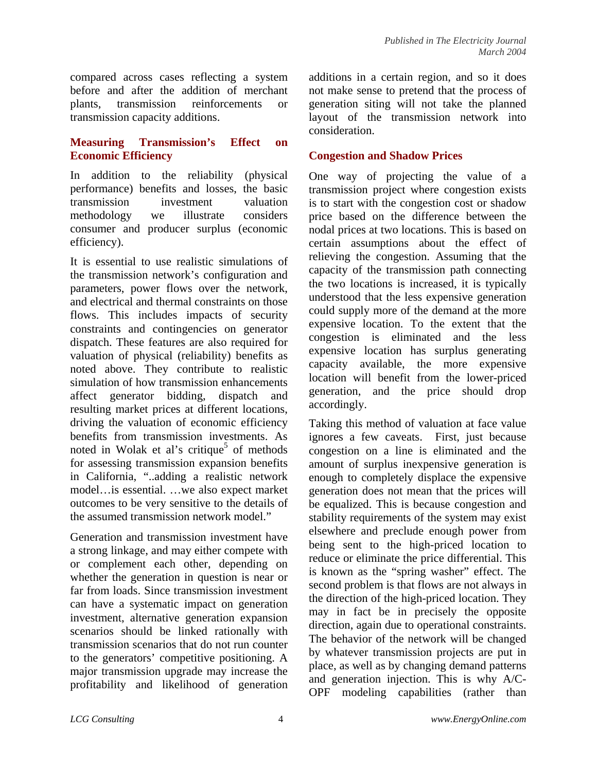compared across cases reflecting a system before and after the addition of merchant plants, transmission reinforcements or transmission capacity additions.

### **Measuring Transmission's Effect on Economic Efficiency**

In addition to the reliability (physical performance) benefits and losses, the basic transmission investment valuation methodology we illustrate considers consumer and producer surplus (economic efficiency).

It is essential to use realistic simulations of the transmission network's configuration and parameters, power flows over the network, and electrical and thermal constraints on those flows. This includes impacts of security constraints and contingencies on generator dispatch. These features are also required for valuation of physical (reliability) benefits as noted above. They contribute to realistic simulation of how transmission enhancements affect generator bidding, dispatch and resulting market prices at different locations, driving the valuation of economic efficiency benefits from transmission investments. As noted in Wolak et al's critique<sup>5</sup> of methods for assessing transmission expansion benefits in California, "..adding a realistic network model…is essential. …we also expect market outcomes to be very sensitive to the details of the assumed transmission network model."

Generation and transmission investment have a strong linkage, and may either compete with or complement each other, depending on whether the generation in question is near or far from loads. Since transmission investment can have a systematic impact on generation investment, alternative generation expansion scenarios should be linked rationally with transmission scenarios that do not run counter to the generators' competitive positioning. A major transmission upgrade may increase the profitability and likelihood of generation additions in a certain region, and so it does not make sense to pretend that the process of generation siting will not take the planned layout of the transmission network into consideration.

### **Congestion and Shadow Prices**

One way of projecting the value of a transmission project where congestion exists is to start with the congestion cost or shadow price based on the difference between the nodal prices at two locations. This is based on certain assumptions about the effect of relieving the congestion. Assuming that the capacity of the transmission path connecting the two locations is increased, it is typically understood that the less expensive generation could supply more of the demand at the more expensive location. To the extent that the congestion is eliminated and the less expensive location has surplus generating capacity available, the more expensive location will benefit from the lower-priced generation, and the price should drop accordingly.

Taking this method of valuation at face value ignores a few caveats. First, just because congestion on a line is eliminated and the amount of surplus inexpensive generation is enough to completely displace the expensive generation does not mean that the prices will be equalized. This is because congestion and stability requirements of the system may exist elsewhere and preclude enough power from being sent to the high-priced location to reduce or eliminate the price differential. This is known as the "spring washer" effect. The second problem is that flows are not always in the direction of the high-priced location. They may in fact be in precisely the opposite direction, again due to operational constraints. The behavior of the network will be changed by whatever transmission projects are put in place, as well as by changing demand patterns and generation injection. This is why A/C-OPF modeling capabilities (rather than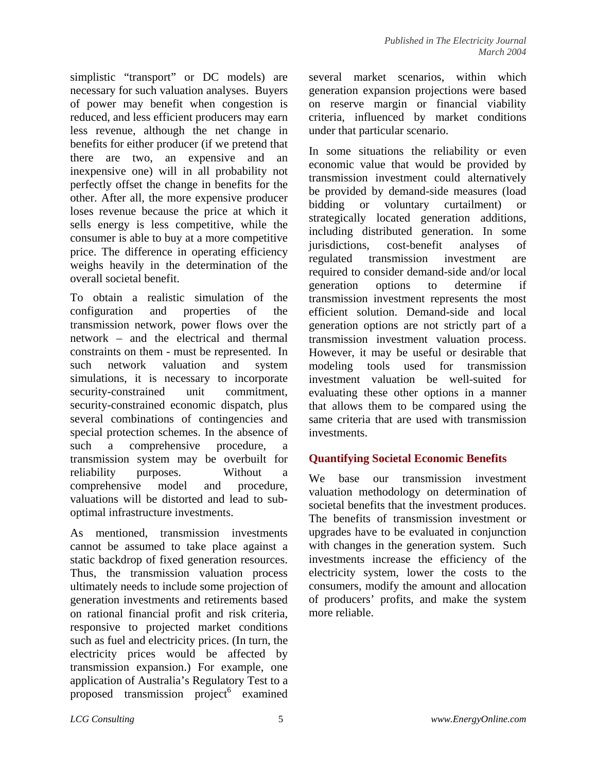simplistic "transport" or DC models) are necessary for such valuation analyses. Buyers of power may benefit when congestion is reduced, and less efficient producers may earn less revenue, although the net change in benefits for either producer (if we pretend that there are two, an expensive and an inexpensive one) will in all probability not perfectly offset the change in benefits for the other. After all, the more expensive producer loses revenue because the price at which it sells energy is less competitive, while the consumer is able to buy at a more competitive price. The difference in operating efficiency weighs heavily in the determination of the overall societal benefit.

To obtain a realistic simulation of the configuration and properties of the transmission network, power flows over the network – and the electrical and thermal constraints on them - must be represented. In such network valuation and system simulations, it is necessary to incorporate security-constrained unit commitment. security-constrained economic dispatch, plus several combinations of contingencies and special protection schemes. In the absence of such a comprehensive procedure, a transmission system may be overbuilt for reliability purposes. Without a comprehensive model and procedure, valuations will be distorted and lead to suboptimal infrastructure investments.

As mentioned, transmission investments cannot be assumed to take place against a static backdrop of fixed generation resources. Thus, the transmission valuation process ultimately needs to include some projection of generation investments and retirements based on rational financial profit and risk criteria, responsive to projected market conditions such as fuel and electricity prices. (In turn, the electricity prices would be affected by transmission expansion.) For example, one application of Australia's Regulatory Test to a proposed transmission  $project^6$  examined several market scenarios, within which generation expansion projections were based on reserve margin or financial viability criteria, influenced by market conditions under that particular scenario.

In some situations the reliability or even economic value that would be provided by transmission investment could alternatively be provided by demand-side measures (load bidding or voluntary curtailment) or strategically located generation additions, including distributed generation. In some jurisdictions, cost-benefit analyses of regulated transmission investment are required to consider demand-side and/or local generation options to determine if transmission investment represents the most efficient solution. Demand-side and local generation options are not strictly part of a transmission investment valuation process. However, it may be useful or desirable that modeling tools used for transmission investment valuation be well-suited for evaluating these other options in a manner that allows them to be compared using the same criteria that are used with transmission investments.

### **Quantifying Societal Economic Benefits**

We base our transmission investment valuation methodology on determination of societal benefits that the investment produces. The benefits of transmission investment or upgrades have to be evaluated in conjunction with changes in the generation system. Such investments increase the efficiency of the electricity system, lower the costs to the consumers, modify the amount and allocation of producers' profits, and make the system more reliable.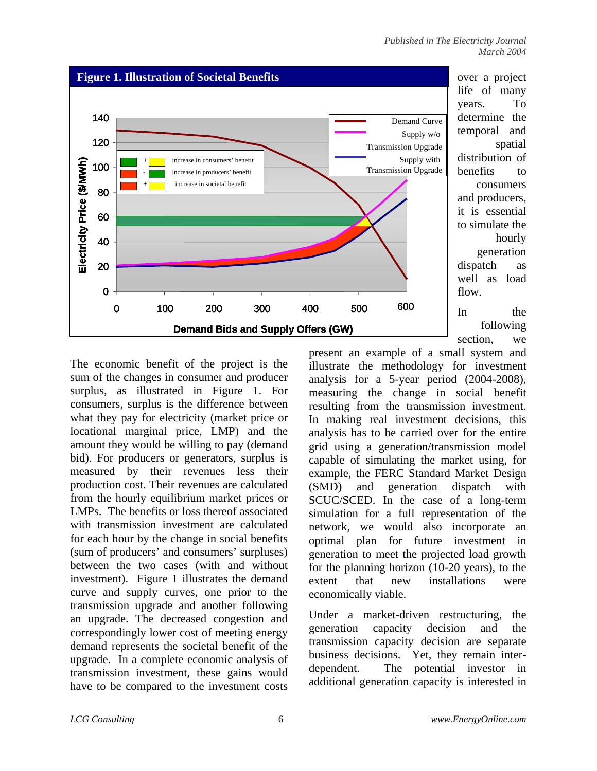

over a project life of many years. To determine the temporal and spatial distribution of benefits to consumers and producers, it is essential to simulate the hourly generation dispatch as well as load flow.

In the following section, we

The economic benefit of the project is the sum of the changes in consumer and producer surplus, as illustrated in Figure 1. For consumers, surplus is the difference between what they pay for electricity (market price or locational marginal price, LMP) and the amount they would be willing to pay (demand bid). For producers or generators, surplus is measured by their revenues less their production cost. Their revenues are calculated from the hourly equilibrium market prices or LMPs. The benefits or loss thereof associated with transmission investment are calculated for each hour by the change in social benefits (sum of producers' and consumers' surpluses) between the two cases (with and without investment). Figure 1 illustrates the demand curve and supply curves, one prior to the transmission upgrade and another following an upgrade. The decreased congestion and correspondingly lower cost of meeting energy demand represents the societal benefit of the upgrade. In a complete economic analysis of transmission investment, these gains would have to be compared to the investment costs present an example of a small system and illustrate the methodology for investment analysis for a 5-year period (2004-2008), measuring the change in social benefit resulting from the transmission investment. In making real investment decisions, this analysis has to be carried over for the entire grid using a generation/transmission model capable of simulating the market using, for example, the FERC Standard Market Design (SMD) and generation dispatch with SCUC/SCED. In the case of a long-term simulation for a full representation of the network, we would also incorporate an optimal plan for future investment in generation to meet the projected load growth for the planning horizon (10-20 years), to the extent that new installations were economically viable.

Under a market-driven restructuring, the generation capacity decision and the transmission capacity decision are separate business decisions. Yet, they remain interdependent. The potential investor in additional generation capacity is interested in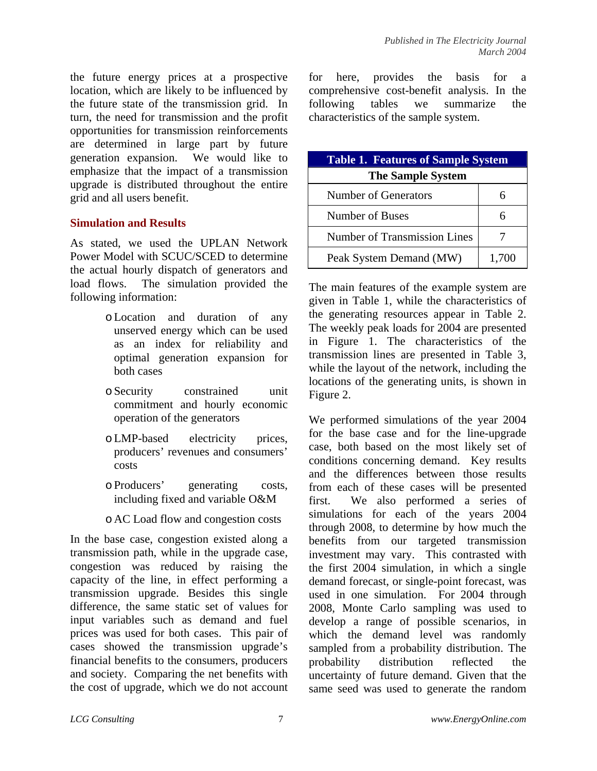the future energy prices at a prospective location, which are likely to be influenced by the future state of the transmission grid. In turn, the need for transmission and the profit opportunities for transmission reinforcements are determined in large part by future generation expansion. We would like to emphasize that the impact of a transmission upgrade is distributed throughout the entire grid and all users benefit.

### **Simulation and Results**

As stated, we used the UPLAN Network Power Model with SCUC/SCED to determine the actual hourly dispatch of generators and load flows. The simulation provided the following information:

- oLocation and duration of any unserved energy which can be used as an index for reliability and optimal generation expansion for both cases
- oSecurity constrained unit commitment and hourly economic operation of the generators
- oLMP-based electricity prices, producers' revenues and consumers' costs
- oProducers' generating costs, including fixed and variable O&M
- o AC Load flow and congestion costs

In the base case, congestion existed along a transmission path, while in the upgrade case, congestion was reduced by raising the capacity of the line, in effect performing a transmission upgrade. Besides this single difference, the same static set of values for input variables such as demand and fuel prices was used for both cases. This pair of cases showed the transmission upgrade's financial benefits to the consumers, producers and society. Comparing the net benefits with the cost of upgrade, which we do not account for here, provides the basis for a comprehensive cost-benefit analysis. In the following tables we summarize the characteristics of the sample system.

| <b>Table 1. Features of Sample System</b> |       |  |  |  |  |
|-------------------------------------------|-------|--|--|--|--|
| <b>The Sample System</b>                  |       |  |  |  |  |
| Number of Generators                      |       |  |  |  |  |
| Number of Buses                           |       |  |  |  |  |
| Number of Transmission Lines              |       |  |  |  |  |
| Peak System Demand (MW)                   | 1,700 |  |  |  |  |

The main features of the example system are given in Table 1, while the characteristics of the generating resources appear in Table 2. The weekly peak loads for 2004 are presented in Figure 1. The characteristics of the transmission lines are presented in Table 3, while the layout of the network, including the locations of the generating units, is shown in Figure 2.

We performed simulations of the year 2004 for the base case and for the line-upgrade case, both based on the most likely set of conditions concerning demand. Key results and the differences between those results from each of these cases will be presented first. We also performed a series of simulations for each of the years 2004 through 2008, to determine by how much the benefits from our targeted transmission investment may vary. This contrasted with the first 2004 simulation, in which a single demand forecast, or single-point forecast, was used in one simulation. For 2004 through 2008, Monte Carlo sampling was used to develop a range of possible scenarios, in which the demand level was randomly sampled from a probability distribution. The probability distribution reflected the uncertainty of future demand. Given that the same seed was used to generate the random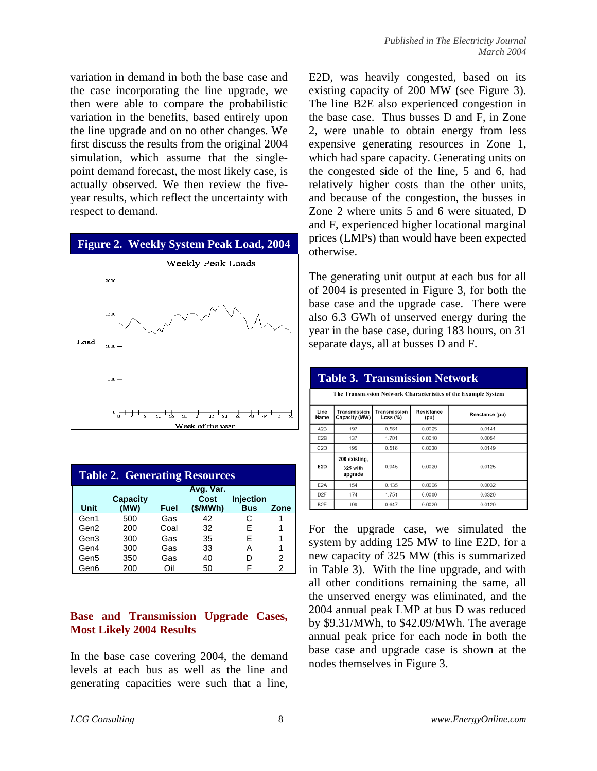variation in demand in both the base case and the case incorporating the line upgrade, we then were able to compare the probabilistic variation in the benefits, based entirely upon the line upgrade and on no other changes. We first discuss the results from the original 2004 simulation, which assume that the singlepoint demand forecast, the most likely case, is actually observed. We then review the fiveyear results, which reflect the uncertainty with respect to demand.



| <b>Table 2. Generating Resources</b>                     |      |      |         |            |      |  |  |  |
|----------------------------------------------------------|------|------|---------|------------|------|--|--|--|
| Avg. Var.<br><b>Injection</b><br><b>Capacity</b><br>Cost |      |      |         |            |      |  |  |  |
| Unit                                                     | (MW) | Fuel | (S/MWh) | <b>Bus</b> | Zone |  |  |  |
| Gen1                                                     | 500  | Gas  | 42      | C          |      |  |  |  |
| Gen2                                                     | 200  | Coal | 32      | F          |      |  |  |  |
| Gen3                                                     | 300  | Gas  | 35      | F          |      |  |  |  |
| Gen4                                                     | 300  | Gas  | 33      | А          |      |  |  |  |
| Gen5                                                     | 350  | Gas  | 40      | D          | 2    |  |  |  |
| Gen6                                                     | 200  | Oil  | 50      |            | 2    |  |  |  |

### **Base and Transmission Upgrade Cases, Most Likely 2004 Results**

In the base case covering 2004, the demand levels at each bus as well as the line and generating capacities were such that a line, E2D, was heavily congested, based on its existing capacity of 200 MW (see Figure 3). The line B2E also experienced congestion in the base case. Thus busses D and F, in Zone 2, were unable to obtain energy from less expensive generating resources in Zone 1, which had spare capacity. Generating units on the congested side of the line, 5 and 6, had relatively higher costs than the other units, and because of the congestion, the busses in Zone 2 where units 5 and 6 were situated, D and F, experienced higher locational marginal prices (LMPs) than would have been expected otherwise.

The generating unit output at each bus for all of 2004 is presented in Figure 3, for both the base case and the upgrade case. There were also 6.3 GWh of unserved energy during the year in the base case, during 183 hours, on 31 separate days, all at busses D and F.

| <b>Table 3. Transmission Network</b>                           |                                                                                                   |       |        |        |  |  |  |  |  |
|----------------------------------------------------------------|---------------------------------------------------------------------------------------------------|-------|--------|--------|--|--|--|--|--|
| The Transmission Network Characteristics of the Example System |                                                                                                   |       |        |        |  |  |  |  |  |
| Line<br>Name                                                   | Transmission<br>Transmission<br>Resistance<br>Reactance (pu)<br>Capacity (MW)<br>Loss (%)<br>(pu) |       |        |        |  |  |  |  |  |
| A2B                                                            | 197                                                                                               | 0.561 | 0.0025 | 0.0141 |  |  |  |  |  |
| C2B                                                            | 137                                                                                               | 1.701 | 0.0010 | 0.0054 |  |  |  |  |  |
| C <sub>2</sub> D                                               | 195                                                                                               | 0.516 | 0.0030 | 0.0149 |  |  |  |  |  |
| E <sub>2</sub> D                                               | 200 existing.<br>325 with<br>upgrade                                                              | 0.945 | 0.0020 | 0.0125 |  |  |  |  |  |
| E <sub>2</sub> A                                               | 154                                                                                               | 0.135 | 0.0006 | 0.0032 |  |  |  |  |  |
| D <sub>2</sub> F                                               | 174                                                                                               | 1.751 | 0.0060 | 0.0320 |  |  |  |  |  |
| B <sub>2</sub> E                                               | 199                                                                                               | 0.647 | 0.0020 | 0.0120 |  |  |  |  |  |

For the upgrade case, we simulated the system by adding 125 MW to line E2D, for a new capacity of 325 MW (this is summarized in Table 3). With the line upgrade, and with all other conditions remaining the same, all the unserved energy was eliminated, and the 2004 annual peak LMP at bus D was reduced by \$9.31/MWh, to \$42.09/MWh. The average annual peak price for each node in both the base case and upgrade case is shown at the nodes themselves in Figure 3.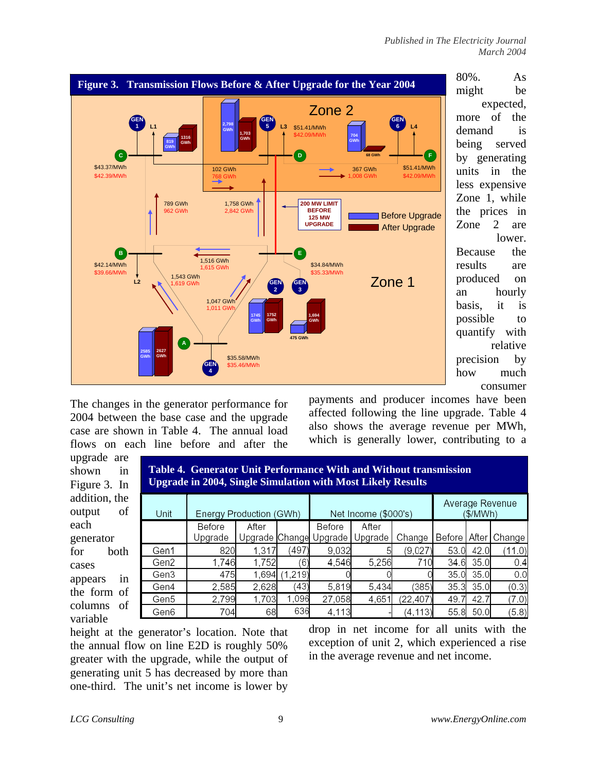expected,

lower.

relative

consumer



The changes in the generator performance for 2004 between the base case and the upgrade case are shown in Table 4. The annual load flows on each line before and after the payments and producer incomes have been affected following the line upgrade. Table 4 also shows the average revenue per MWh, which is generally lower, contributing to a

| upgrade are<br>shown<br>in<br>Figure 3. In | <b>Table 4. Generator Unit Performance With and Without transmission</b><br><b>Upgrade in 2004, Single Simulation with Most Likely Results</b> |                         |       |          |                        |                      |           |      |           |                         |
|--------------------------------------------|------------------------------------------------------------------------------------------------------------------------------------------------|-------------------------|-------|----------|------------------------|----------------------|-----------|------|-----------|-------------------------|
| addition, the                              |                                                                                                                                                |                         |       |          |                        |                      |           |      |           | Average Revenue         |
| of<br>output                               | Unit                                                                                                                                           | Energy Production (GWh) |       |          |                        | Net Income (\$000's) |           |      | (\$/MWh)  |                         |
| each                                       |                                                                                                                                                | Before                  | After |          | Before                 | After                |           |      |           |                         |
| generator                                  |                                                                                                                                                | Upgrade                 |       |          | Upgrade Change Upgrade | Upgrade              | Change    |      |           | Before   After   Change |
| both<br>for                                | Gen1                                                                                                                                           | 820                     | 1,317 | (497)    | 9,032                  |                      | (9,027)   | 53.0 | 42.0      | (11.0)                  |
| cases                                      | Gen2                                                                                                                                           | 1,746                   | 1,752 | (6)      | 4,546                  | 5,256                | 710       | 34.6 | 35.0      | 0.4                     |
| 1n<br>appears                              | Gen3                                                                                                                                           | 475                     | 1,694 | (1, 219) |                        |                      |           | 35.0 | 35.0      | 0.0                     |
| the form of                                | Gen4                                                                                                                                           | 2,585                   | 2,628 | (43)     | 5,819                  | 5.434                | (385)     | 35.3 | 35.0      | (0.3)                   |
|                                            | Gen5                                                                                                                                           | 2,799                   | 1,703 | 1,096    | 27,058                 | 4,651                | (22, 407) | 49.7 | 42.7      | (7.0)                   |
| columns<br>- of                            | Gen6                                                                                                                                           | 704                     | 68    | 636      | 4,113                  |                      | (4, 113)  |      | 55.8 50.0 | (5.8)                   |
| variable                                   |                                                                                                                                                |                         |       |          |                        |                      |           |      |           |                         |

height at the generator's location. Note that the annual flow on line E2D is roughly 50% greater with the upgrade, while the output of generating unit 5 has decreased by more than one-third. The unit's net income is lower by

drop in net income for all units with the exception of unit 2, which experienced a rise in the average revenue and net income.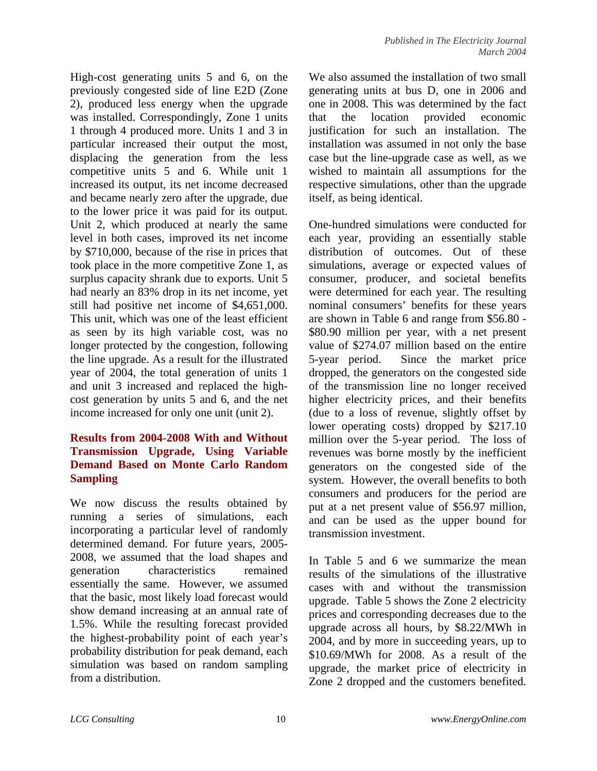High-cost generating units 5 and 6, on the previously congested side of line E2D (Zone 2), produced less energy when the upgrade was installed. Correspondingly, Zone 1 units 1 through 4 produced more. Units 1 and 3 in particular increased their output the most, displacing the generation from the less competitive units 5 and 6. While unit 1 increased its output, its net income decreased and became nearly zero after the upgrade, due to the lower price it was paid for its output. Unit 2, which produced at nearly the same level in both cases, improved its net income by \$710,000, because of the rise in prices that took place in the more competitive Zone 1, as surplus capacity shrank due to exports. Unit 5 had nearly an 83% drop in its net income, yet still had positive net income of \$4,651,000. This unit, which was one of the least efficient as seen by its high variable cost, was no longer protected by the congestion, following the line upgrade. As a result for the illustrated year of 2004, the total generation of units 1 and unit 3 increased and replaced the highcost generation by units 5 and 6, and the net income increased for only one unit (unit 2).

### **Results from 2004-2008 With and Without Transmission Upgrade, Using Variable Demand Based on Monte Carlo Random Sampling**

We now discuss the results obtained by running a series of simulations, each incorporating a particular level of randomly determined demand. For future years, 2005- 2008, we assumed that the load shapes and generation characteristics remained essentially the same. However, we assumed that the basic, most likely load forecast would show demand increasing at an annual rate of 1.5%. While the resulting forecast provided the highest-probability point of each year's probability distribution for peak demand, each simulation was based on random sampling from a distribution.

We also assumed the installation of two small generating units at bus D, one in 2006 and one in 2008. This was determined by the fact that the location provided economic justification for such an installation. The installation was assumed in not only the base case but the line-upgrade case as well, as we wished to maintain all assumptions for the respective simulations, other than the upgrade itself, as being identical.

One-hundred simulations were conducted for each year, providing an essentially stable distribution of outcomes. Out of these simulations, average or expected values of consumer, producer, and societal benefits were determined for each year. The resulting nominal consumers' benefits for these years are shown in Table 6 and range from \$56.80 - \$80.90 million per year, with a net present value of \$274.07 million based on the entire 5-year period. Since the market price dropped, the generators on the congested side of the transmission line no longer received higher electricity prices, and their benefits (due to a loss of revenue, slightly offset by lower operating costs) dropped by \$217.10 million over the 5-year period. The loss of revenues was borne mostly by the inefficient generators on the congested side of the system. However, the overall benefits to both consumers and producers for the period are put at a net present value of \$56.97 million, and can be used as the upper bound for transmission investment.

In Table 5 and 6 we summarize the mean results of the simulations of the illustrative cases with and without the transmission upgrade. Table 5 shows the Zone 2 electricity prices and corresponding decreases due to the upgrade across all hours, by \$8.22/MWh in 2004, and by more in succeeding years, up to \$10.69/MWh for 2008. As a result of the upgrade, the market price of electricity in Zone 2 dropped and the customers benefited.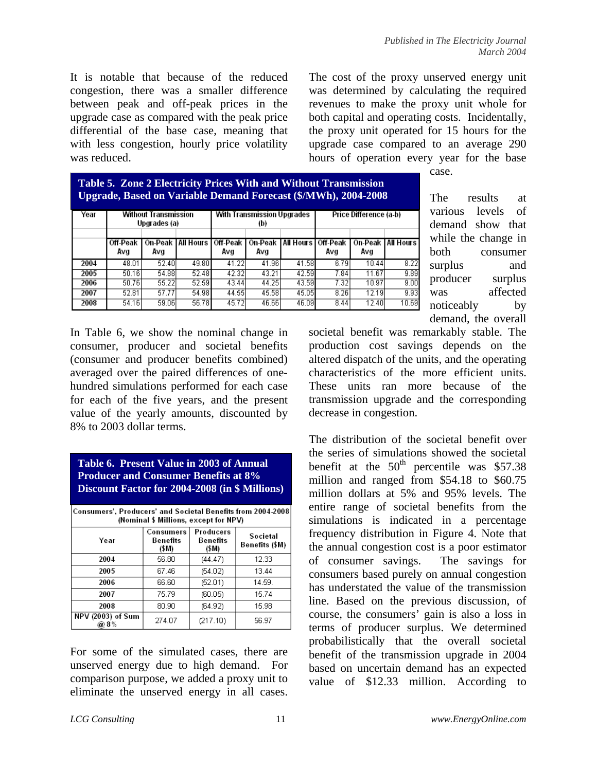It is notable that because of the reduced congestion, there was a smaller difference between peak and off-peak prices in the upgrade case as compared with the peak price differential of the base case, meaning that with less congestion, hourly price volatility was reduced.

The cost of the proxy unserved energy unit was determined by calculating the required revenues to make the proxy unit whole for both capital and operating costs. Incidentally, the proxy unit operated for 15 hours for the upgrade case compared to an average 290 hours of operation every year for the base

case.

| <b>Table 5. Zone 2 Electricity Prices With and Without Transmission</b> |
|-------------------------------------------------------------------------|
| <b>Upgrade, Based on Variable Demand Forecast (\$/MWh), 2004-2008</b>   |

| Year |                 | Without Transmission<br>Upgrades (a) |                                | With Transmission Upgrades<br>(b) |                |                      | Price Difference (a-b) |       |                     |
|------|-----------------|--------------------------------------|--------------------------------|-----------------------------------|----------------|----------------------|------------------------|-------|---------------------|
|      | Off-Peak<br>Avg | Avg                                  | On-Peak   All Hours   Off-Peak | Avg                               | On-Peak<br>Avg | All Hours   Off-Peak | Avg                    | Avg   | On-Peak   All Hours |
| 2004 | 48.01           | 52.40                                | 49.80                          | 41.22                             | 41.96          | 41.58                | 6.79                   | 10.44 | 8.22                |
| 2005 | 50.16           | 54.88                                | 52.48                          | 42.32                             | 43.21          | 42.59                | 7.84                   | 11.67 | 9.89                |
| 2006 | 50.76           | 55.22                                | 52.59                          | 43.44                             | 44.25          | 43.59                | 7.32                   | 10.97 | 9.00                |
| 2007 | 52.81           | 57.77                                | 54.98                          | 44.55                             | 45.58          | 45.05                | 8.26                   | 12.19 | 9.93                |
| 2008 | 54.16           | 59.06                                | 56.78                          | 45.72                             | 46.66          | 46.09                | 8.44                   | 12.40 | 10.69               |

The results at various levels of demand show that while the change in both consumer surplus and producer surplus was affected noticeably by demand, the overall

In Table 6, we show the nominal change in consumer, producer and societal benefits (consumer and producer benefits combined) averaged over the paired differences of onehundred simulations performed for each case for each of the five years, and the present value of the yearly amounts, discounted by 8% to 2003 dollar terms.

| Table 6. Present Value in 2003 of Annual<br><b>Producer and Consumer Benefits at 8%</b><br>Discount Factor for 2004-2008 (in \$ Millions) |
|-------------------------------------------------------------------------------------------------------------------------------------------|
| Concumers', Producers' and Secietal Repetits from 2004-2001                                                                               |

| Consumers', Producers' and Societal Benefits from 2004-2008 <br>(Nominal \$ Millions, except for NPV) |                                |                                |                            |  |  |  |  |  |
|-------------------------------------------------------------------------------------------------------|--------------------------------|--------------------------------|----------------------------|--|--|--|--|--|
| Year                                                                                                  | Consumers<br>Benefits<br>(\$M) | Producers<br>Benefits<br>(\$M) | Societal<br>Benefits (\$M) |  |  |  |  |  |
| 2004                                                                                                  | 56.80                          | (44.47)                        | 12.33                      |  |  |  |  |  |
| 2005                                                                                                  | 67.46                          | (54.02)                        | 13.44                      |  |  |  |  |  |
| 2006                                                                                                  | 66.60                          | (52.01)                        | 14.59.                     |  |  |  |  |  |
| 2007                                                                                                  | 75.79                          | (60.05)                        | 15.74                      |  |  |  |  |  |
| 2008                                                                                                  | 80.90                          | (64.92)                        | 15.98                      |  |  |  |  |  |
| NPV (2003) of Sum<br>@8%                                                                              | 274.07                         | (217.10)                       | 56.97                      |  |  |  |  |  |

For some of the simulated cases, there are unserved energy due to high demand. For comparison purpose, we added a proxy unit to eliminate the unserved energy in all cases. societal benefit was remarkably stable. The production cost savings depends on the altered dispatch of the units, and the operating characteristics of the more efficient units. These units ran more because of the transmission upgrade and the corresponding decrease in congestion.

The distribution of the societal benefit over the series of simulations showed the societal benefit at the  $50<sup>th</sup>$  percentile was \$57.38 million and ranged from \$54.18 to \$60.75 million dollars at 5% and 95% levels. The entire range of societal benefits from the simulations is indicated in a percentage frequency distribution in Figure 4. Note that the annual congestion cost is a poor estimator of consumer savings. The savings for consumers based purely on annual congestion has understated the value of the transmission line. Based on the previous discussion, of course, the consumers' gain is also a loss in terms of producer surplus. We determined probabilistically that the overall societal benefit of the transmission upgrade in 2004 based on uncertain demand has an expected value of \$12.33 million. According to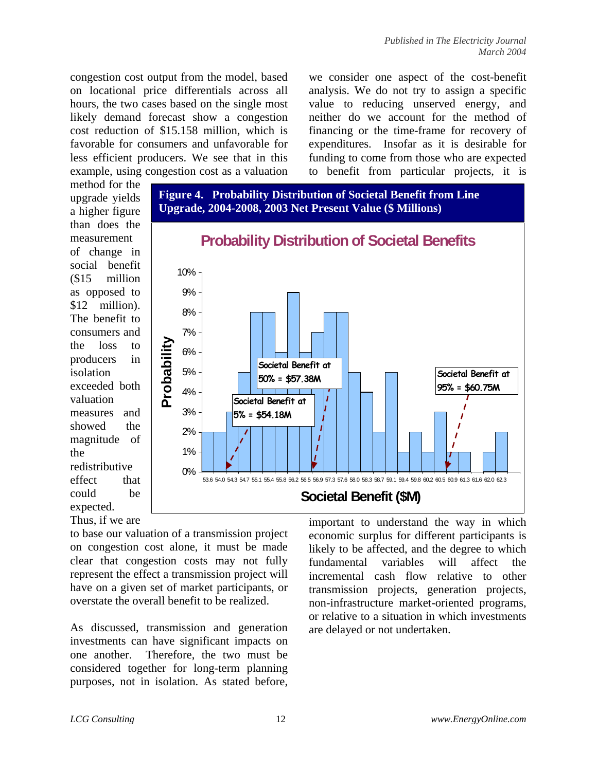congestion cost output from the model, based on locational price differentials across all hours, the two cases based on the single most likely demand forecast show a congestion cost reduction of \$15.158 million, which is favorable for consumers and unfavorable for less efficient producers. We see that in this example, using congestion cost as a valuation we consider one aspect of the cost-benefit analysis. We do not try to assign a specific value to reducing unserved energy, and neither do we account for the method of financing or the time-frame for recovery of expenditures. Insofar as it is desirable for funding to come from those who are expected to benefit from particular projects, it is

method for the upgrade yields a higher figure than does the measurement of change in social benefit (\$15 million as opposed to \$12 million). The benefit to consumers and the loss to producers in isolation exceeded both valuation measures and showed the magnitude of the redistributive effect that could be expected. Thus, if we are



to base our valuation of a transmission project on congestion cost alone, it must be made clear that congestion costs may not fully represent the effect a transmission project will have on a given set of market participants, or overstate the overall benefit to be realized.

As discussed, transmission and generation investments can have significant impacts on one another. Therefore, the two must be considered together for long-term planning purposes, not in isolation. As stated before, important to understand the way in which economic surplus for different participants is likely to be affected, and the degree to which fundamental variables will affect the incremental cash flow relative to other transmission projects, generation projects, non-infrastructure market-oriented programs, or relative to a situation in which investments are delayed or not undertaken.